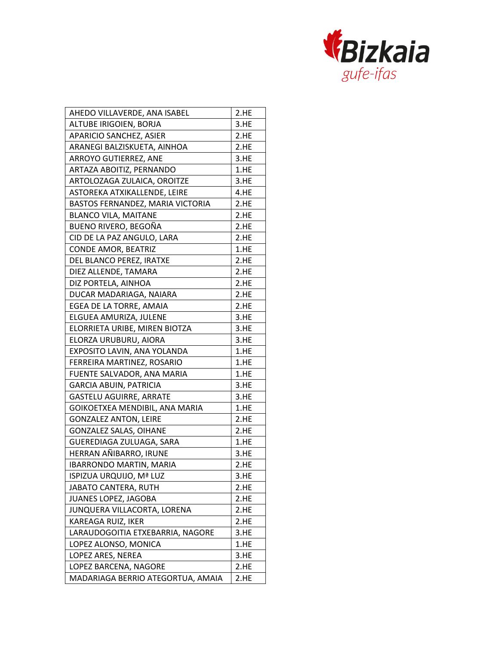

| AHEDO VILLAVERDE, ANA ISABEL      | 2.HE |
|-----------------------------------|------|
| ALTUBE IRIGOIEN, BORJA            | 3.HE |
| APARICIO SANCHEZ, ASIER           | 2.HE |
| ARANEGI BALZISKUETA, AINHOA       | 2.HE |
| ARROYO GUTIERREZ, ANE             | 3.HE |
| ARTAZA ABOITIZ, PERNANDO          | 1.HE |
| ARTOLOZAGA ZULAICA, OROITZE       | 3.HE |
| ASTOREKA ATXIKALLENDE, LEIRE      | 4.HE |
| BASTOS FERNANDEZ, MARIA VICTORIA  | 2.HE |
| <b>BLANCO VILA, MAITANE</b>       | 2.HE |
| BUENO RIVERO, BEGOÑA              | 2.HE |
| CID DE LA PAZ ANGULO, LARA        | 2.HE |
| <b>CONDE AMOR, BEATRIZ</b>        | 1.HE |
| DEL BLANCO PEREZ, IRATXE          | 2.HE |
| DIEZ ALLENDE, TAMARA              | 2.HE |
| DIZ PORTELA, AINHOA               | 2.HE |
| DUCAR MADARIAGA, NAIARA           | 2.HE |
| EGEA DE LA TORRE, AMAIA           | 2.HE |
| ELGUEA AMURIZA, JULENE            | 3.HE |
| ELORRIETA URIBE, MIREN BIOTZA     | 3.HE |
| ELORZA URUBURU, AIORA             | 3.HE |
| EXPOSITO LAVIN, ANA YOLANDA       | 1.HE |
| FERREIRA MARTINEZ, ROSARIO        | 1.HE |
| FUENTE SALVADOR, ANA MARIA        | 1.HE |
| <b>GARCIA ABUIN, PATRICIA</b>     | 3.HE |
| <b>GASTELU AGUIRRE, ARRATE</b>    | 3.HE |
| GOIKOETXEA MENDIBIL, ANA MARIA    | 1.HE |
| <b>GONZALEZ ANTON, LEIRE</b>      | 2.HE |
| <b>GONZALEZ SALAS, OIHANE</b>     | 2.HE |
| GUEREDIAGA ZULUAGA, SARA          | 1.HE |
| HERRAN AÑIBARRO, IRUNE            | 3.HE |
| IBARRONDO MARTIN, MARIA           | 2.HE |
| ISPIZUA URQUIJO, Mª LUZ           | 3.HE |
| JABATO CANTERA, RUTH              | 2.HE |
| JUANES LOPEZ, JAGOBA              | 2.HE |
| JUNQUERA VILLACORTA, LORENA       | 2.HE |
| KAREAGA RUIZ, IKER                | 2.HE |
| LARAUDOGOITIA ETXEBARRIA, NAGORE  | 3.HE |
| LOPEZ ALONSO, MONICA              | 1.HE |
| LOPEZ ARES, NEREA                 | 3.HE |
| LOPEZ BARCENA, NAGORE             | 2.HE |
| MADARIAGA BERRIO ATEGORTUA, AMAIA | 2.HE |
|                                   |      |